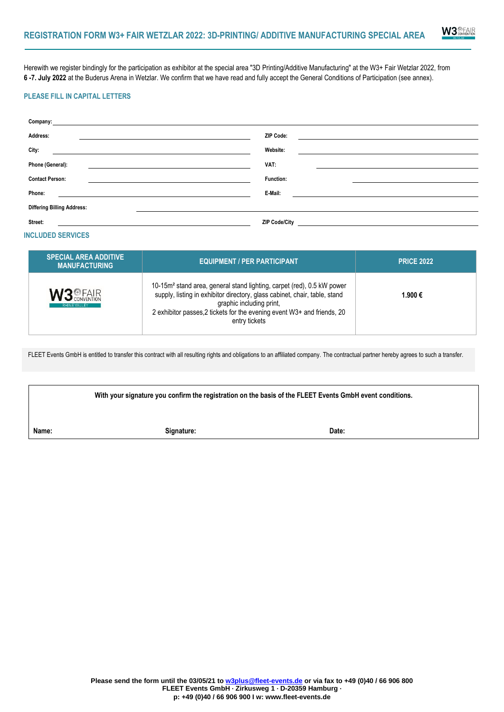

**6 -7. July 2022** at the Buderus Arena in Wetzlar. We confirm that we have read and fully accept the General Conditions of Participation (see annex).

## **PLEASE FILL IN CAPITAL LETTERS**

| PLEASE FILL IN CAPITAL LETTERS                       |                                                                                                                                                                                                                                                                                          |                   |  |
|------------------------------------------------------|------------------------------------------------------------------------------------------------------------------------------------------------------------------------------------------------------------------------------------------------------------------------------------------|-------------------|--|
|                                                      | <b>Company:</b> Company: Company: Company: Company: Company: Company: Company: Company: Company: Company: Company: Company: Company: Company: Company: Company: Company: Company: Company: Company: Company: Company: Company: Comp                                                      |                   |  |
| Address:                                             | <b>ZIP Code:</b><br><u> 1989 - Johann Barbara, martxa alemaniar arg</u>                                                                                                                                                                                                                  |                   |  |
|                                                      | Website:<br><u> 1989 - Johann Barn, amerikansk politiker (d. 1989)</u>                                                                                                                                                                                                                   |                   |  |
| Phone (General):                                     | VAT:                                                                                                                                                                                                                                                                                     | <b>Function:</b>  |  |
| <b>Contact Person:</b>                               | <u> 1980 - Andrea Andrew Maria (h. 1980).</u>                                                                                                                                                                                                                                            |                   |  |
| Phone:                                               | E-Mail:<br><u> 1989 - Johann Stoff, amerikansk politiker (* 1908)</u>                                                                                                                                                                                                                    |                   |  |
| <b>Differing Billing Address:</b>                    |                                                                                                                                                                                                                                                                                          |                   |  |
| Street:                                              | <b>ZIP Code/City</b><br><u> 1989 - Johann Barbara, martin amerikan basal dan berkembang di banyak di banyak di banyak di banyak di banyak</u>                                                                                                                                            |                   |  |
| <b>INCLUDED SERVICES</b>                             |                                                                                                                                                                                                                                                                                          |                   |  |
| <b>SPECIAL AREA ADDITIVE</b><br><b>MANUFACTURING</b> | <b>EQUIPMENT / PER PARTICIPANT</b>                                                                                                                                                                                                                                                       | <b>PRICE 2022</b> |  |
| $3+$ FAIR                                            | 10-15m <sup>2</sup> stand area, general stand lighting, carpet (red), 0.5 kW power<br>supply, listing in exhibitor directory, glass cabinet, chair, table, stand<br>graphic including print,<br>2 exhibitor passes, 2 tickets for the evening event W3+ and friends, 20<br>entry tickets | 1.900€            |  |

# **PLZ / Ort: INCLUDED SERVICES**

| <b>SPECIAL AREA ADDITIVE</b><br><b>MANUFACTURING</b> | EQUIPMENT / PER PARTICIPANT                                                                                                                                                                                                                                                              | <b>PRICE 2022</b> |
|------------------------------------------------------|------------------------------------------------------------------------------------------------------------------------------------------------------------------------------------------------------------------------------------------------------------------------------------------|-------------------|
| <b>W3 EAIR</b><br><b>RHINE VALLEY</b>                | 10-15m <sup>2</sup> stand area, general stand lighting, carpet (red), 0.5 kW power<br>supply, listing in exhibitor directory, glass cabinet, chair, table, stand<br>graphic including print,<br>2 exhibitor passes, 2 tickets for the evening event W3+ and friends, 20<br>entry tickets | 1.900 €           |

FLEET Events GmbH is entitled to transfer this contract with all resulting rights and obligations to an affiliated company. The contractual partner hereby agrees to such a transfer.

|       | With your signature you confirm the registration on the basis of the FLEET Events GmbH event conditions. |       |  |
|-------|----------------------------------------------------------------------------------------------------------|-------|--|
| Name: | Signature:                                                                                               | Date: |  |